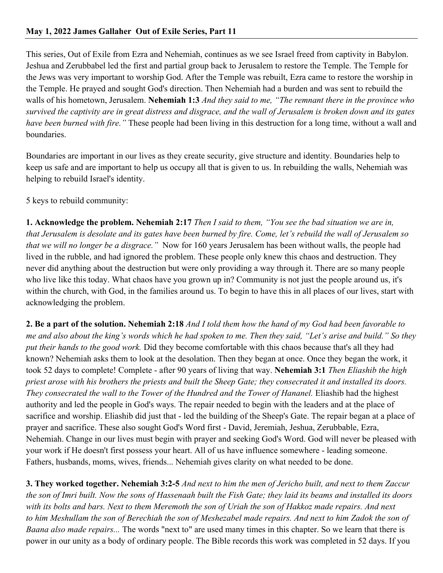This series, Out of Exile from Ezra and Nehemiah, continues as we see Israel freed from captivity in Babylon. Jeshua and Zerubbabel led the first and partial group back to Jerusalem to restore the Temple. The Temple for the Jews was very important to worship God. After the Temple was rebuilt, Ezra came to restore the worship in the Temple. He prayed and sought God's direction. Then Nehemiah had a burden and was sent to rebuild the walls of his hometown, Jerusalem. **Nehemiah 1:3** *And they said to me, "The remnant there in the province who survived the captivity are in great distress and disgrace, and the wall of Jerusalem is broken down and its gates have been burned with fire."* These people had been living in this destruction for a long time, without a wall and boundaries.

Boundaries are important in our lives as they create security, give structure and identity. Boundaries help to keep us safe and are important to help us occupy all that is given to us. In rebuilding the walls, Nehemiah was helping to rebuild Israel's identity.

5 keys to rebuild community:

**1. Acknowledge the problem. Nehemiah 2:17** *Then I said to them, "You see the bad situation we are in, that Jerusalem is desolate and its gates have been burned by fire. Come, let's rebuild the wall of Jerusalem so that we will no longer be a disgrace."* Now for 160 years Jerusalem has been without walls, the people had lived in the rubble, and had ignored the problem. These people only knew this chaos and destruction. They never did anything about the destruction but were only providing a way through it. There are so many people who live like this today. What chaos have you grown up in? Community is not just the people around us, it's within the church, with God, in the families around us. To begin to have this in all places of our lives, start with acknowledging the problem.

**2. Be a part of the solution. Nehemiah 2:18** *And I told them how the hand of my God had been favorable to me and also about the king's words which he had spoken to me. Then they said, "Let's arise and build." So they put their hands to the good work.* Did they become comfortable with this chaos because that's all they had known? Nehemiah asks them to look at the desolation. Then they began at once. Once they began the work, it took 52 days to complete! Complete - after 90 years of living that way. **Nehemiah 3:1** *Then Eliashib the high priest arose with his brothers the priests and built the Sheep Gate; they consecrated it and installed its doors. They consecrated the wall to the Tower of the Hundred and the Tower of Hananel.* Eliashib had the highest authority and led the people in God's ways. The repair needed to begin with the leaders and at the place of sacrifice and worship. Eliashib did just that - led the building of the Sheep's Gate. The repair began at a place of prayer and sacrifice. These also sought God's Word first - David, Jeremiah, Jeshua, Zerubbable, Ezra, Nehemiah. Change in our lives must begin with prayer and seeking God's Word. God will never be pleased with your work if He doesn't first possess your heart. All of us have influence somewhere - leading someone. Fathers, husbands, moms, wives, friends... Nehemiah gives clarity on what needed to be done.

**3. They worked together. Nehemiah 3:2-5** *And next to him the men of Jericho built, and next to them Zaccur the son of Imri built. Now the sons of Hassenaah built the Fish Gate; they laid its beams and installed its doors with its bolts and bars. Next to them Meremoth the son of Uriah the son of Hakkoz made repairs. And next to him Meshullam the son of Berechiah the son of Meshezabel made repairs. And next to him Zadok the son of Baana also made repairs...* The words "next to" are used many times in this chapter. So we learn that there is power in our unity as a body of ordinary people. The Bible records this work was completed in 52 days. If you